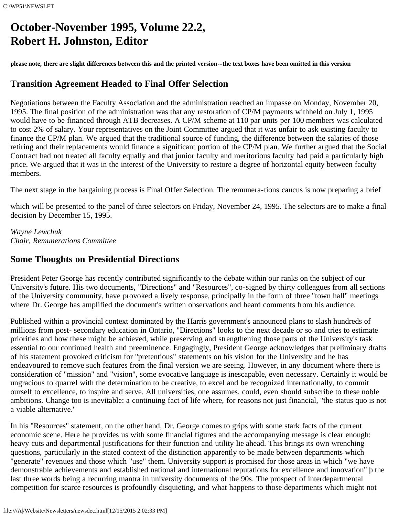# **October-November 1995, Volume 22.2, Robert H. Johnston, Editor**

**please note, there are slight differences between this and the printed version--the text boxes have been omitted in this version**

# **Transition Agreement Headed to Final Offer Selection**

Negotiations between the Faculty Association and the administration reached an impasse on Monday, November 20, 1995. The final position of the administration was that any restoration of CP/M payments withheld on July 1, 1995 would have to be financed through ATB decreases. A CP/M scheme at 110 par units per 100 members was calculated to cost 2% of salary. Your representatives on the Joint Committee argued that it was unfair to ask existing faculty to finance the CP/M plan. We argued that the traditional source of funding, the difference between the salaries of those retiring and their replacements would finance a significant portion of the CP/M plan. We further argued that the Social Contract had not treated all faculty equally and that junior faculty and meritorious faculty had paid a particularly high price. We argued that it was in the interest of the University to restore a degree of horizontal equity between faculty members.

The next stage in the bargaining process is Final Offer Selection. The remunera-tions caucus is now preparing a brief

which will be presented to the panel of three selectors on Friday, November 24, 1995. The selectors are to make a final decision by December 15, 1995.

*Wayne Lewchuk Chair, Remunerations Committee*

# **Some Thoughts on Presidential Directions**

President Peter George has recently contributed significantly to the debate within our ranks on the subject of our University's future. His two documents, "Directions" and "Resources", co-signed by thirty colleagues from all sections of the University community, have provoked a lively response, principally in the form of three "town hall" meetings where Dr. George has amplified the document's written observations and heard comments from his audience.

Published within a provincial context dominated by the Harris government's announced plans to slash hundreds of millions from post- secondary education in Ontario, "Directions" looks to the next decade or so and tries to estimate priorities and how these might be achieved, while preserving and strengthening those parts of the University's task essential to our continued health and preeminence. Engagingly, President George acknowledges that preliminary drafts of his statement provoked criticism for "pretentious" statements on his vision for the University and he has endeavoured to remove such features from the final version we are seeing. However, in any document where there is consideration of "mission" and "vision", some evocative language is inescapable, even necessary. Certainly it would be ungracious to quarrel with the determination to be creative, to excel and be recognized internationally, to commit ourself to excellence, to inspire and serve. All universities, one assumes, could, even should subscribe to these noble ambitions. Change too is inevitable: a continuing fact of life where, for reasons not just financial, "the status quo is not a viable alternative."

In his "Resources" statement, on the other hand, Dr. George comes to grips with some stark facts of the current economic scene. Here he provides us with some financial figures and the accompanying message is clear enough: heavy cuts and departmental justifications for their function and utility lie ahead. This brings its own wrenching questions, particularly in the stated context of the distinction apparently to be made between departments which "generate" revenues and those which "use" them. University support is promised for those areas in which "we have demonstrable achievements and established national and international reputations for excellence and innovation" þ the last three words being a recurring mantra in university documents of the 90s. The prospect of interdepartmental competition for scarce resources is profoundly disquieting, and what happens to those departments which might not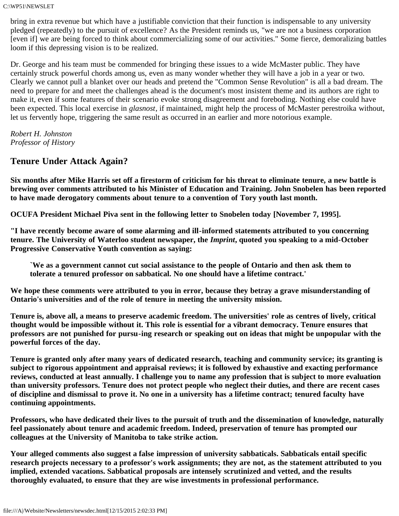C:\WP51\NEWSLET

bring in extra revenue but which have a justifiable conviction that their function is indispensable to any university pledged (repeatedly) to the pursuit of excellence? As the President reminds us, "we are not a business corporation [even if] we are being forced to think about commercializing some of our activities." Some fierce, demoralizing battles loom if this depressing vision is to be realized.

Dr. George and his team must be commended for bringing these issues to a wide McMaster public. They have certainly struck powerful chords among us, even as many wonder whether they will have a job in a year or two. Clearly we cannot pull a blanket over our heads and pretend the "Common Sense Revolution" is all a bad dream. The need to prepare for and meet the challenges ahead is the document's most insistent theme and its authors are right to make it, even if some features of their scenario evoke strong disagreement and foreboding. Nothing else could have been expected. This local exercise in *glasnost*, if maintained, might help the process of McMaster perestroika without, let us fervently hope, triggering the same result as occurred in an earlier and more notorious example.

*Robert H. Johnston Professor of History*

### **Tenure Under Attack Again?**

**Six months after Mike Harris set off a firestorm of criticism for his threat to eliminate tenure, a new battle is brewing over comments attributed to his Minister of Education and Training. John Snobelen has been reported to have made derogatory comments about tenure to a convention of Tory youth last month.**

**OCUFA President Michael Piva sent in the following letter to Snobelen today [November 7, 1995].**

**"I have recently become aware of some alarming and ill-informed statements attributed to you concerning tenure. The University of Waterloo student newspaper, the** *Imprint***, quoted you speaking to a mid-October Progressive Conservative Youth convention as saying:**

**`We as a government cannot cut social assistance to the people of Ontario and then ask them to tolerate a tenured professor on sabbatical. No one should have a lifetime contract.'**

**We hope these comments were attributed to you in error, because they betray a grave misunderstanding of Ontario's universities and of the role of tenure in meeting the university mission.**

**Tenure is, above all, a means to preserve academic freedom. The universities' role as centres of lively, critical thought would be impossible without it. This role is essential for a vibrant democracy. Tenure ensures that professors are not punished for pursu-ing research or speaking out on ideas that might be unpopular with the powerful forces of the day.**

**Tenure is granted only after many years of dedicated research, teaching and community service; its granting is subject to rigorous appointment and appraisal reviews; it is followed by exhaustive and exacting performance reviews, conducted at least annually. I challenge you to name any profession that is subject to more evaluation than university professors. Tenure does not protect people who neglect their duties, and there are recent cases of discipline and dismissal to prove it. No one in a university has a lifetime contract; tenured faculty have continuing appointments.**

**Professors, who have dedicated their lives to the pursuit of truth and the dissemination of knowledge, naturally feel passionately about tenure and academic freedom. Indeed, preservation of tenure has prompted our colleagues at the University of Manitoba to take strike action.**

**Your alleged comments also suggest a false impression of university sabbaticals. Sabbaticals entail specific research projects necessary to a professor's work assignments; they are not, as the statement attributed to you implied, extended vacations. Sabbatical proposals are intensely scrutinized and vetted, and the results thoroughly evaluated, to ensure that they are wise investments in professional performance.**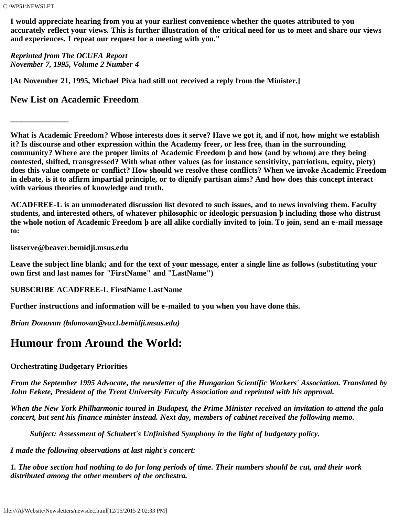C:\WP51\NEWSLET

*\_\_\_\_\_\_\_\_\_\_\_\_\_\_\_*

**I would appreciate hearing from you at your earliest convenience whether the quotes attributed to you accurately reflect your views. This is further illustration of the critical need for us to meet and share our views and experiences. I repeat our request for a meeting with you."**

*Reprinted from The OCUFA Report November 7, 1995, Volume 2 Number 4*

**[At November 21, 1995, Michael Piva had still not received a reply from the Minister.]**

**New List on Academic Freedom**

**What is Academic Freedom? Whose interests does it serve? Have we got it, and if not, how might we establish it? Is discourse and other expression within the Academy freer, or less free, than in the surrounding community? Where are the proper limits of Academic Freedom þ and how (and by whom) are they being contested, shifted, transgressed? With what other values (as for instance sensitivity, patriotism, equity, piety) does this value compete or conflict? How should we resolve these conflicts? When we invoke Academic Freedom in debate, is it to affirm impartial principle, or to dignify partisan aims? And how does this concept interact with various theories of knowledge and truth.**

**ACADFREE-L is an unmoderated discussion list devoted to such issues, and to news involving them. Faculty students, and interested others, of whatever philosophic or ideologic persuasion þ including those who distrust the whole notion of Academic Freedom þ are all alike cordially invited to join. To join, send an e-mail message to:**

**listserve@beaver.bemidji.msus.edu**

**Leave the subject line blank; and for the text of your message, enter a single line as follows (substituting your own first and last names for "FirstName" and "LastName")**

**SUBSCRIBE ACADFREE-L FirstName LastName**

**Further instructions and information will be e-mailed to you when you have done this.**

*Brian Donovan (bdonovan@vax1.bemidji.msus.edu)*

# **Humour from Around the World:**

#### **Orchestrating Budgetary Priorities**

*From the September 1995 Advocate, the newsletter of the Hungarian Scientific Workers' Association. Translated by John Fekete, President of the Trent University Faculty Association and reprinted with his approval.*

*When the New York Philharmonic toured in Budapest, the Prime Minister received an invitation to attend the gala concert, but sent his finance minister instead. Next day, members of cabinet received the following memo.*

*Subject: Assessment of Schubert's Unfinished Symphony in the light of budgetary policy.*

*I made the following observations at last night's concert:*

*1. The oboe section had nothing to do for long periods of time. Their numbers should be cut, and their work distributed among the other members of the orchestra.*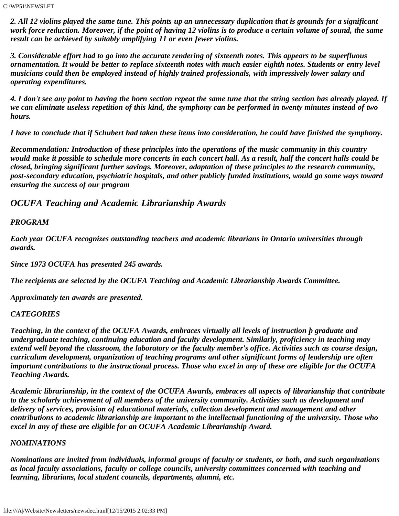*2. All 12 violins played the same tune. This points up an unnecessary duplication that is grounds for a significant work force reduction. Moreover, if the point of having 12 violins is to produce a certain volume of sound, the same result can be achieved by suitably amplifying 11 or even fewer violins.*

*3. Considerable effort had to go into the accurate rendering of sixteenth notes. This appears to be superfluous ornamentation. It would be better to replace sixteenth notes with much easier eighth notes. Students or entry level musicians could then be employed instead of highly trained professionals, with impressively lower salary and operating expenditures.*

*4. I don't see any point to having the horn section repeat the same tune that the string section has already played. If we can eliminate useless repetition of this kind, the symphony can be performed in twenty minutes instead of two hours.*

*I have to conclude that if Schubert had taken these items into consideration, he could have finished the symphony.*

*Recommendation: Introduction of these principles into the operations of the music community in this country would make it possible to schedule more concerts in each concert hall. As a result, half the concert halls could be closed, bringing significant further savings. Moreover, adaptation of these principles to the research community, post-secondary education, psychiatric hospitals, and other publicly funded institutions, would go some ways toward ensuring the success of our program*

#### *OCUFA Teaching and Academic Librarianship Awards*

#### *PROGRAM*

*Each year OCUFA recognizes outstanding teachers and academic librarians in Ontario universities through awards.*

*Since 1973 OCUFA has presented 245 awards.*

*The recipients are selected by the OCUFA Teaching and Academic Librarianship Awards Committee.*

*Approximately ten awards are presented.*

#### *CATEGORIES*

*Teaching, in the context of the OCUFA Awards, embraces virtually all levels of instruction þ graduate and undergraduate teaching, continuing education and faculty development. Similarly, proficiency in teaching may extend well beyond the classroom, the laboratory or the faculty member's office. Activities such as course design, curriculum development, organization of teaching programs and other significant forms of leadership are often important contributions to the instructional process. Those who excel in any of these are eligible for the OCUFA Teaching Awards.*

*Academic librarianship, in the context of the OCUFA Awards, embraces all aspects of librarianship that contribute to the scholarly achievement of all members of the university community. Activities such as development and delivery of services, provision of educational materials, collection development and management and other contributions to academic librarianship are important to the intellectual functioning of the university. Those who excel in any of these are eligible for an OCUFA Academic Librarianship Award.*

#### *NOMINATIONS*

*Nominations are invited from individuals, informal groups of faculty or students, or both, and such organizations as local faculty associations, faculty or college councils, university committees concerned with teaching and learning, librarians, local student councils, departments, alumni, etc.*